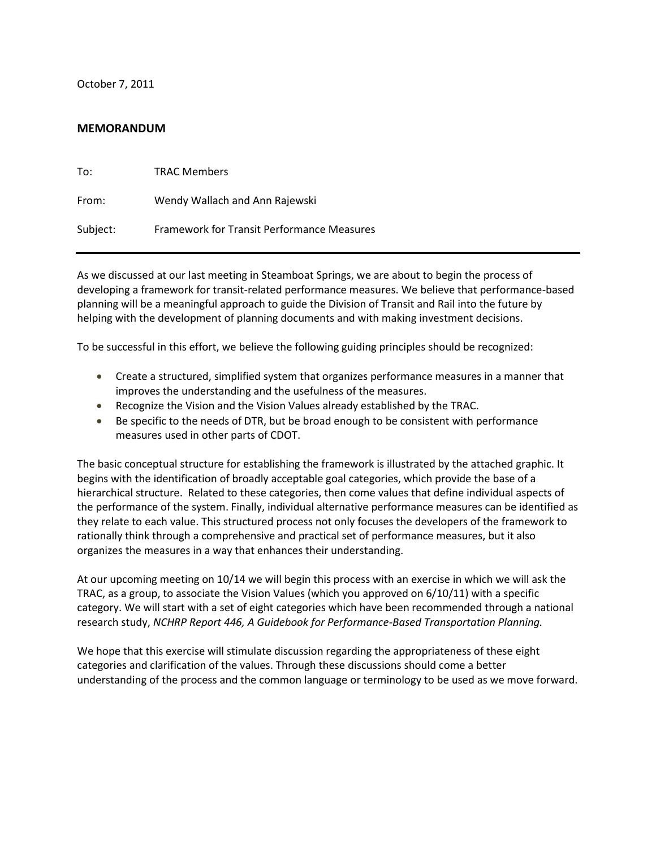October 7, 2011

# **MEMORANDUM**

| To:      | <b>TRAC Members</b>                               |
|----------|---------------------------------------------------|
| From:    | Wendy Wallach and Ann Rajewski                    |
| Subject: | <b>Framework for Transit Performance Measures</b> |

As we discussed at our last meeting in Steamboat Springs, we are about to begin the process of developing a framework for transit-related performance measures. We believe that performance-based planning will be a meaningful approach to guide the Division of Transit and Rail into the future by helping with the development of planning documents and with making investment decisions.

To be successful in this effort, we believe the following guiding principles should be recognized:

- Create a structured, simplified system that organizes performance measures in a manner that improves the understanding and the usefulness of the measures.
- Recognize the Vision and the Vision Values already established by the TRAC.
- Be specific to the needs of DTR, but be broad enough to be consistent with performance measures used in other parts of CDOT.

The basic conceptual structure for establishing the framework is illustrated by the attached graphic. It begins with the identification of broadly acceptable goal categories, which provide the base of a hierarchical structure. Related to these categories, then come values that define individual aspects of the performance of the system. Finally, individual alternative performance measures can be identified as they relate to each value. This structured process not only focuses the developers of the framework to rationally think through a comprehensive and practical set of performance measures, but it also organizes the measures in a way that enhances their understanding.

At our upcoming meeting on 10/14 we will begin this process with an exercise in which we will ask the TRAC, as a group, to associate the Vision Values (which you approved on 6/10/11) with a specific category. We will start with a set of eight categories which have been recommended through a national research study, *NCHRP Report 446, A Guidebook for Performance-Based Transportation Planning.*

We hope that this exercise will stimulate discussion regarding the appropriateness of these eight categories and clarification of the values. Through these discussions should come a better understanding of the process and the common language or terminology to be used as we move forward.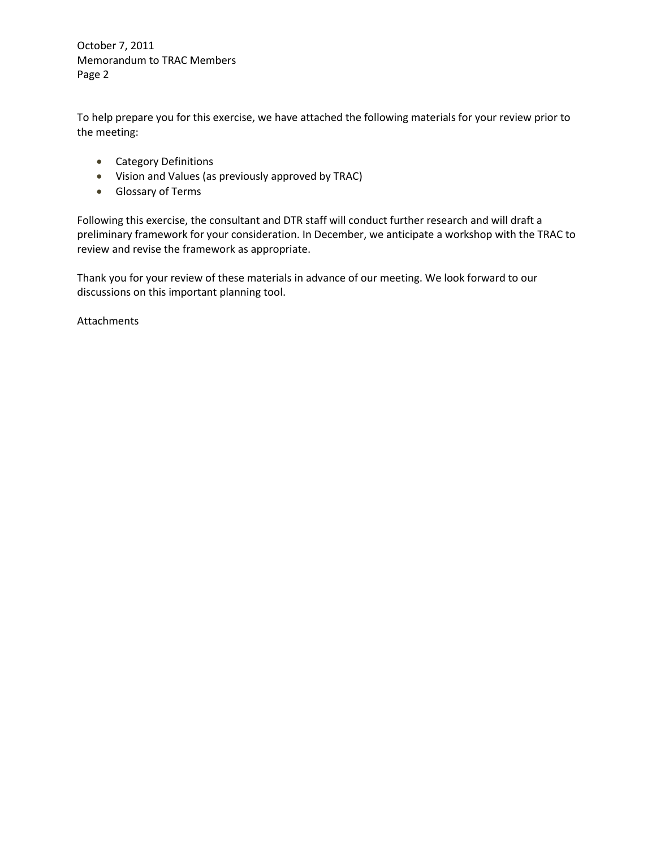October 7, 2011 Memorandum to TRAC Members Page 2

To help prepare you for this exercise, we have attached the following materials for your review prior to the meeting:

- Category Definitions
- Vision and Values (as previously approved by TRAC)
- Glossary of Terms

Following this exercise, the consultant and DTR staff will conduct further research and will draft a preliminary framework for your consideration. In December, we anticipate a workshop with the TRAC to review and revise the framework as appropriate.

Thank you for your review of these materials in advance of our meeting. We look forward to our discussions on this important planning tool.

Attachments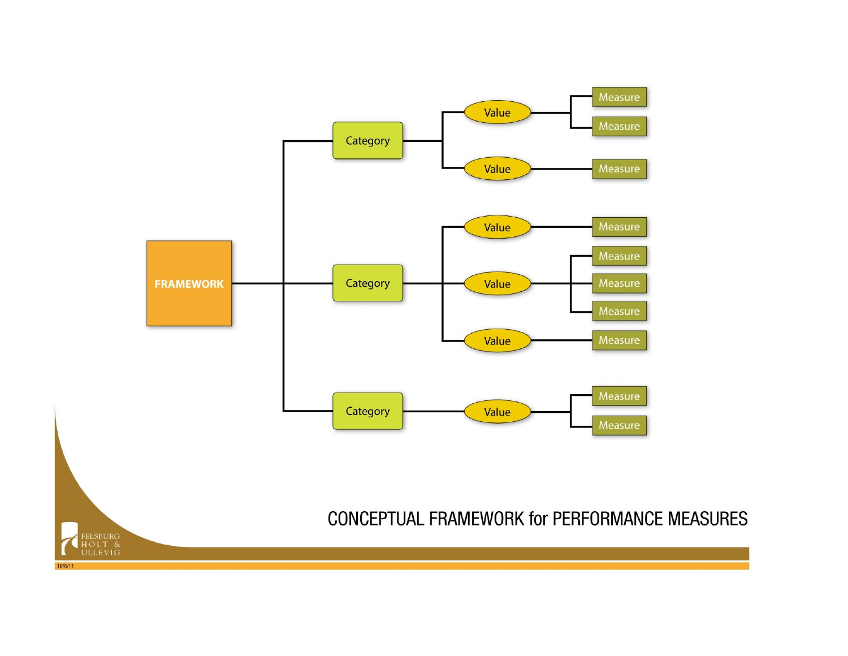

 $10/6/11$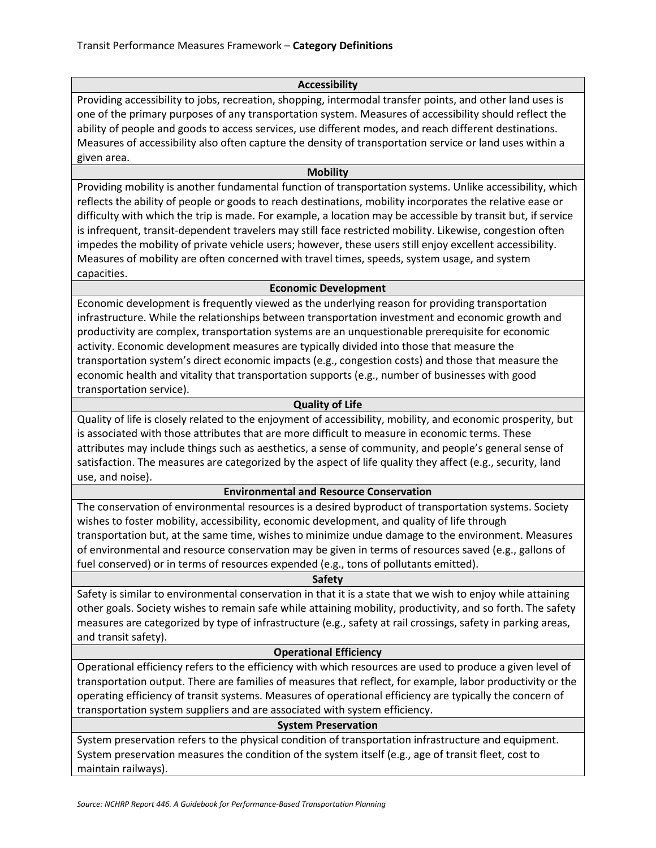## **Accessibility**

Providing accessibility to jobs, recreation, shopping, intermodal transfer points, and other land uses is one of the primary purposes of any transportation system. Measures of accessibility should reflect the ability of people and goods to access services, use different modes, and reach different destinations. Measures of accessibility also often capture the density of transportation service or land uses within a given area.

#### **Mobility**

Providing mobility is another fundamental function of transportation systems. Unlike accessibility, which reflects the ability of people or goods to reach destinations, mobility incorporates the relative ease or difficulty with which the trip is made. For example, a location may be accessible by transit but, if service is infrequent, transit-dependent travelers may still face restricted mobility. Likewise, congestion often impedes the mobility of private vehicle users; however, these users still enjoy excellent accessibility. Measures of mobility are often concerned with travel times, speeds, system usage, and system capacities.

## **Economic Development**

Economic development is frequently viewed as the underlying reason for providing transportation infrastructure. While the relationships between transportation investment and economic growth and productivity are complex, transportation systems are an unquestionable prerequisite for economic activity. Economic development measures are typically divided into those that measure the transportation system's direct economic impacts (e.g., congestion costs) and those that measure the economic health and vitality that transportation supports (e.g., number of businesses with good transportation service).

## **Quality of Life**

Quality of life is closely related to the enjoyment of accessibility, mobility, and economic prosperity, but is associated with those attributes that are more difficult to measure in economic terms. These attributes may include things such as aesthetics, a sense of community, and people's general sense of satisfaction. The measures are categorized by the aspect of life quality they affect (e.g., security, land use, and noise).

# **Environmental and Resource Conservation**

The conservation of environmental resources is a desired byproduct of transportation systems. Society wishes to foster mobility, accessibility, economic development, and quality of life through transportation but, at the same time, wishes to minimize undue damage to the environment. Measures of environmental and resource conservation may be given in terms of resources saved (e.g., gallons of fuel conserved) or in terms of resources expended (e.g., tons of pollutants emitted).

## **Safety**

Safety is similar to environmental conservation in that it is a state that we wish to enjoy while attaining other goals. Society wishes to remain safe while attaining mobility, productivity, and so forth. The safety measures are categorized by type of infrastructure (e.g., safety at rail crossings, safety in parking areas, and transit safety).

#### **Operational Efficiency**

Operational efficiency refers to the efficiency with which resources are used to produce a given level of transportation output. There are families of measures that reflect, for example, labor productivity or the operating efficiency of transit systems. Measures of operational efficiency are typically the concern of transportation system suppliers and are associated with system efficiency.

# **System Preservation**

System preservation refers to the physical condition of transportation infrastructure and equipment. System preservation measures the condition of the system itself (e.g., age of transit fleet, cost to maintain railways).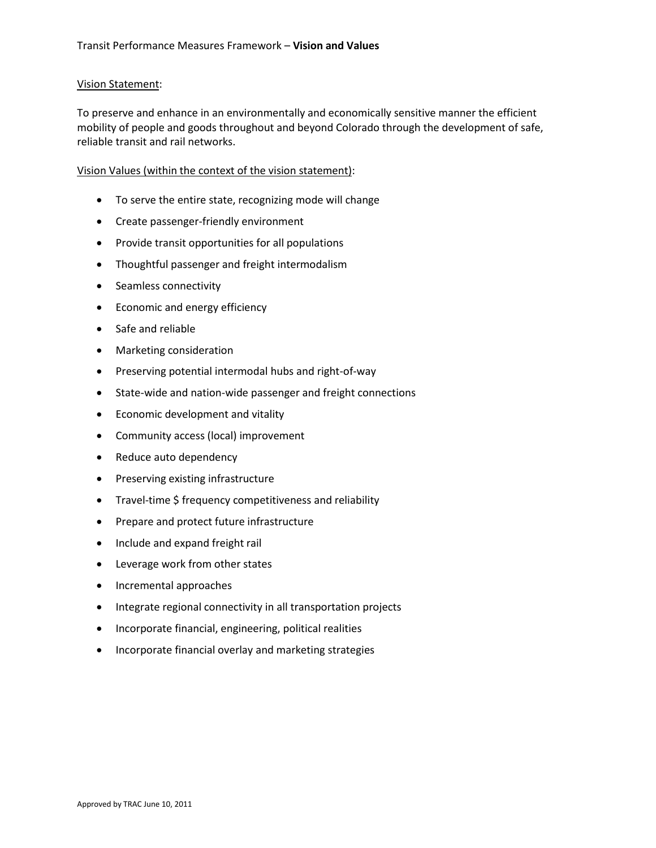## Vision Statement:

To preserve and enhance in an environmentally and economically sensitive manner the efficient mobility of people and goods throughout and beyond Colorado through the development of safe, reliable transit and rail networks.

Vision Values (within the context of the vision statement):

- To serve the entire state, recognizing mode will change
- Create passenger-friendly environment
- Provide transit opportunities for all populations
- Thoughtful passenger and freight intermodalism
- Seamless connectivity
- Economic and energy efficiency
- Safe and reliable
- Marketing consideration
- Preserving potential intermodal hubs and right-of-way
- State-wide and nation-wide passenger and freight connections
- Economic development and vitality
- Community access (local) improvement
- Reduce auto dependency
- Preserving existing infrastructure
- Travel-time \$ frequency competitiveness and reliability
- Prepare and protect future infrastructure
- Include and expand freight rail
- Leverage work from other states
- Incremental approaches
- Integrate regional connectivity in all transportation projects
- Incorporate financial, engineering, political realities
- Incorporate financial overlay and marketing strategies